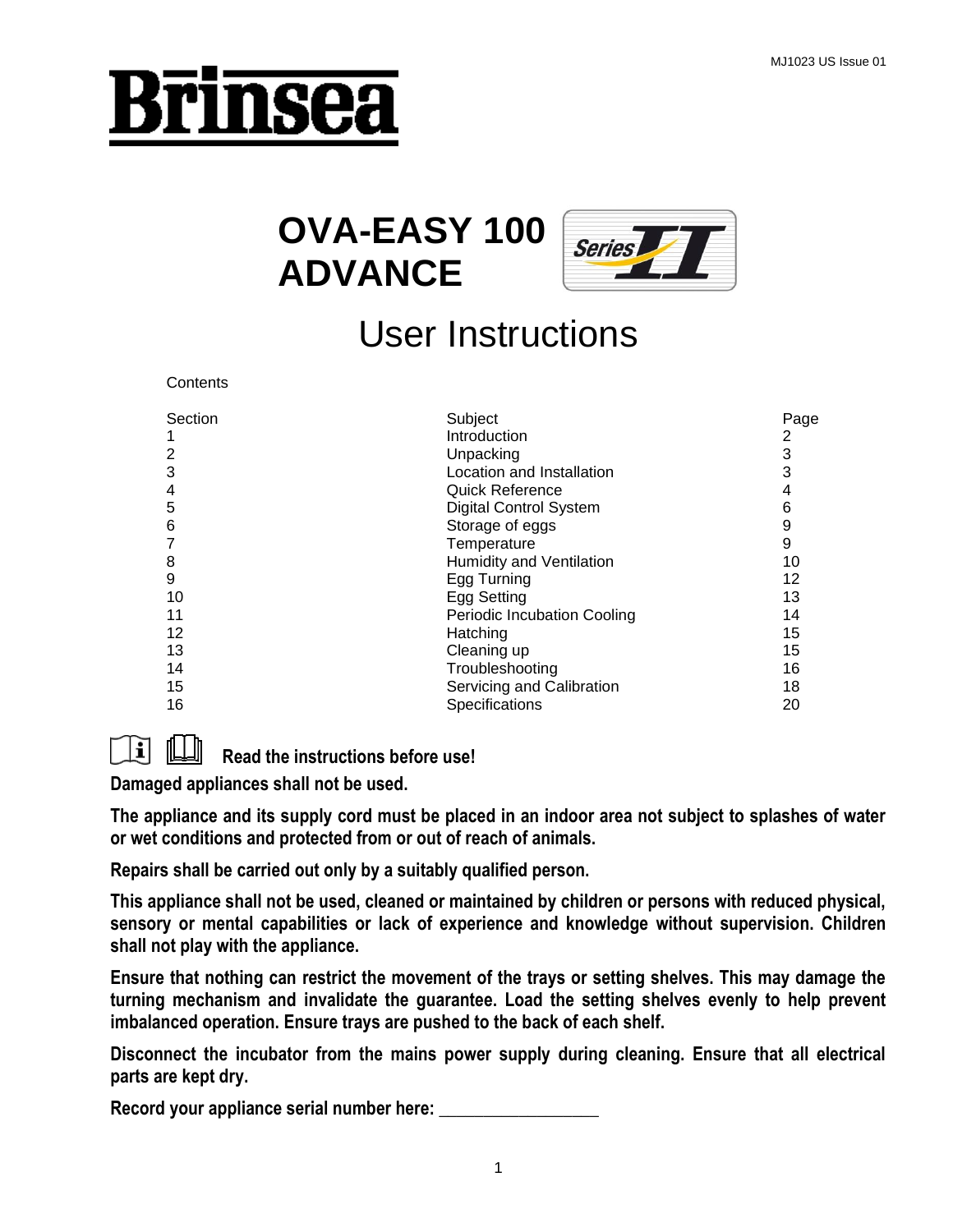# Brinsea

# **OVA-EASY 100 ADVANCE**



# User Instructions

| Contents       |                                    |      |
|----------------|------------------------------------|------|
| Section        | Subject                            | Page |
| 1              | Introduction                       | 2    |
| $\overline{2}$ | Unpacking                          | 3    |
| 3              | Location and Installation          | 3    |
| $\overline{4}$ | <b>Quick Reference</b>             | 4    |
| 5              | <b>Digital Control System</b>      | 6    |
| 6              | Storage of eggs                    | 9    |
| 7              | Temperature                        | 9    |
| 8              | Humidity and Ventilation           | 10   |
| 9              | Egg Turning                        | 12   |
| 10             | Egg Setting                        | 13   |
| 11             | <b>Periodic Incubation Cooling</b> | 14   |
| 12             | Hatching                           | 15   |
| 13             | Cleaning up                        | 15   |
| 14             | Troubleshooting                    | 16   |
| 15             | Servicing and Calibration          | 18   |
| 16             | Specifications                     | 20   |
|                |                                    |      |



**Read the instructions before use!**

**Damaged appliances shall not be used.**

**The appliance and its supply cord must be placed in an indoor area not subject to splashes of water or wet conditions and protected from or out of reach of animals.**

**Repairs shall be carried out only by a suitably qualified person.**

**This appliance shall not be used, cleaned or maintained by children or persons with reduced physical, sensory or mental capabilities or lack of experience and knowledge without supervision. Children shall not play with the appliance.**

**Ensure that nothing can restrict the movement of the trays or setting shelves. This may damage the turning mechanism and invalidate the guarantee. Load the setting shelves evenly to help prevent imbalanced operation. Ensure trays are pushed to the back of each shelf.**

**Disconnect the incubator from the mains power supply during cleaning. Ensure that all electrical parts are kept dry.**

Record your appliance serial number here: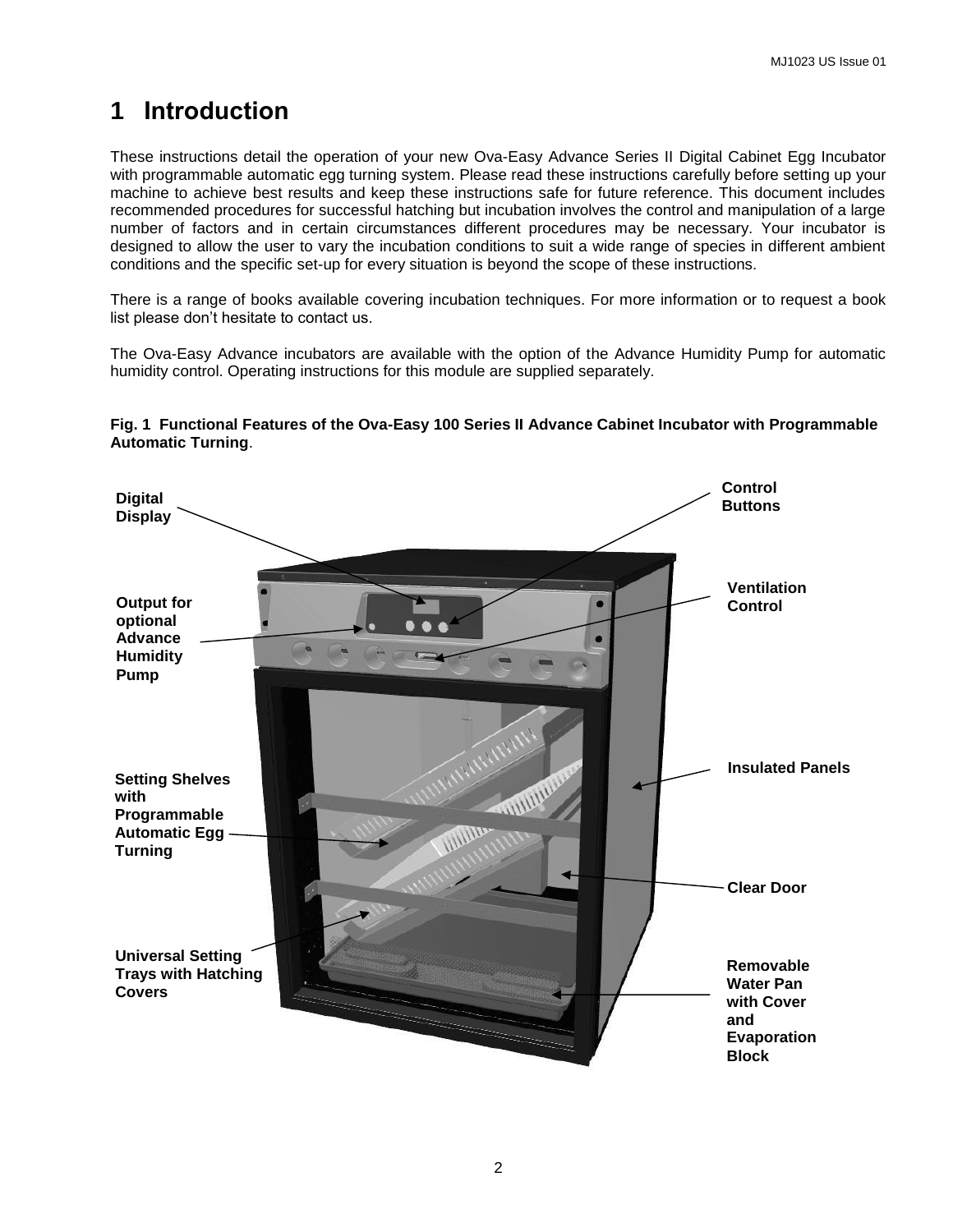## **1 Introduction**

These instructions detail the operation of your new Ova-Easy Advance Series II Digital Cabinet Egg Incubator with programmable automatic egg turning system. Please read these instructions carefully before setting up your machine to achieve best results and keep these instructions safe for future reference. This document includes recommended procedures for successful hatching but incubation involves the control and manipulation of a large number of factors and in certain circumstances different procedures may be necessary. Your incubator is designed to allow the user to vary the incubation conditions to suit a wide range of species in different ambient conditions and the specific set-up for every situation is beyond the scope of these instructions.

There is a range of books available covering incubation techniques. For more information or to request a book list please don't hesitate to contact us.

The Ova-Easy Advance incubators are available with the option of the Advance Humidity Pump for automatic humidity control. Operating instructions for this module are supplied separately.

#### **Fig. 1 Functional Features of the Ova-Easy 100 Series II Advance Cabinet Incubator with Programmable Automatic Turning**.

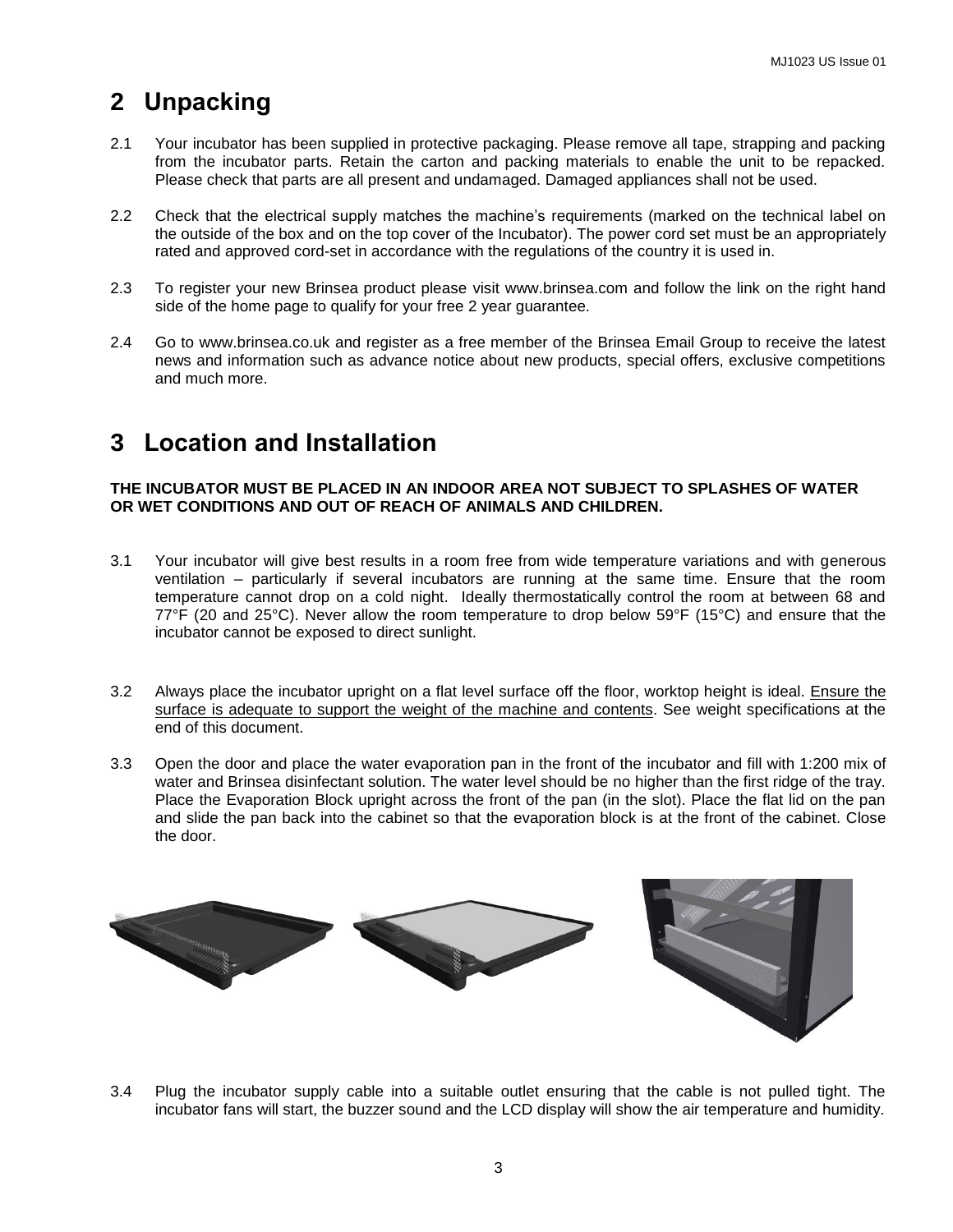## **2 Unpacking**

- 2.1 Your incubator has been supplied in protective packaging. Please remove all tape, strapping and packing from the incubator parts. Retain the carton and packing materials to enable the unit to be repacked. Please check that parts are all present and undamaged. Damaged appliances shall not be used.
- 2.2 Check that the electrical supply matches the machine's requirements (marked on the technical label on the outside of the box and on the top cover of the Incubator). The power cord set must be an appropriately rated and approved cord-set in accordance with the regulations of the country it is used in.
- 2.3 To register your new Brinsea product please visit www.brinsea.com and follow the link on the right hand side of the home page to qualify for your free 2 year guarantee.
- 2.4 Go to www.brinsea.co.uk and register as a free member of the Brinsea Email Group to receive the latest news and information such as advance notice about new products, special offers, exclusive competitions and much more.

## **3 Location and Installation**

#### **THE INCUBATOR MUST BE PLACED IN AN INDOOR AREA NOT SUBJECT TO SPLASHES OF WATER OR WET CONDITIONS AND OUT OF REACH OF ANIMALS AND CHILDREN.**

- 3.1 Your incubator will give best results in a room free from wide temperature variations and with generous ventilation – particularly if several incubators are running at the same time. Ensure that the room temperature cannot drop on a cold night. Ideally thermostatically control the room at between 68 and 77°F (20 and 25°C). Never allow the room temperature to drop below 59°F (15°C) and ensure that the incubator cannot be exposed to direct sunlight.
- 3.2 Always place the incubator upright on a flat level surface off the floor, worktop height is ideal. Ensure the surface is adequate to support the weight of the machine and contents. See weight specifications at the end of this document.
- 3.3 Open the door and place the water evaporation pan in the front of the incubator and fill with 1:200 mix of water and Brinsea disinfectant solution. The water level should be no higher than the first ridge of the tray. Place the Evaporation Block upright across the front of the pan (in the slot). Place the flat lid on the pan and slide the pan back into the cabinet so that the evaporation block is at the front of the cabinet. Close the door.



3.4 Plug the incubator supply cable into a suitable outlet ensuring that the cable is not pulled tight. The incubator fans will start, the buzzer sound and the LCD display will show the air temperature and humidity.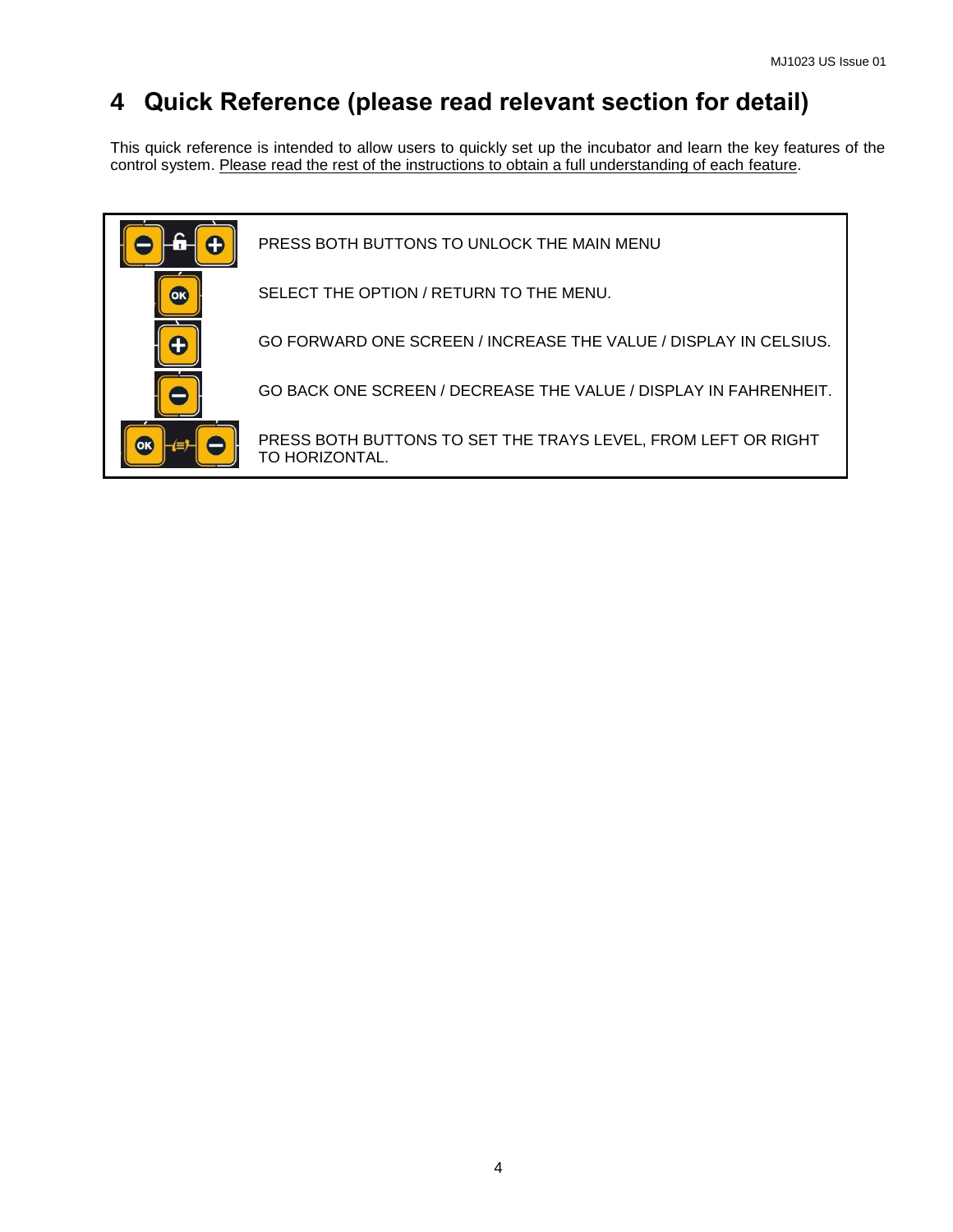## **4 Quick Reference (please read relevant section for detail)**

This quick reference is intended to allow users to quickly set up the incubator and learn the key features of the control system. Please read the rest of the instructions to obtain a full understanding of each feature.

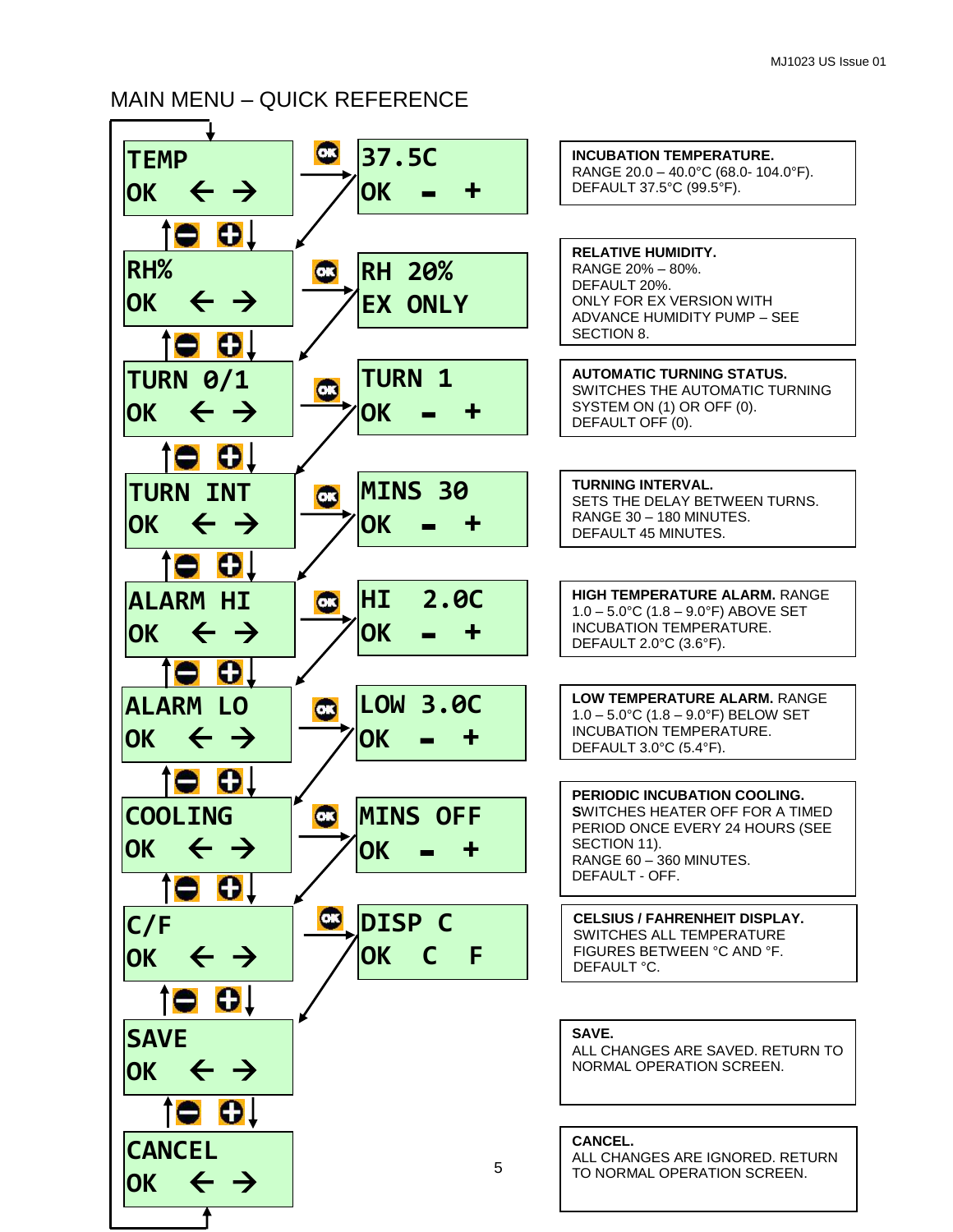## MAIN MENU – QUICK REFERENCE

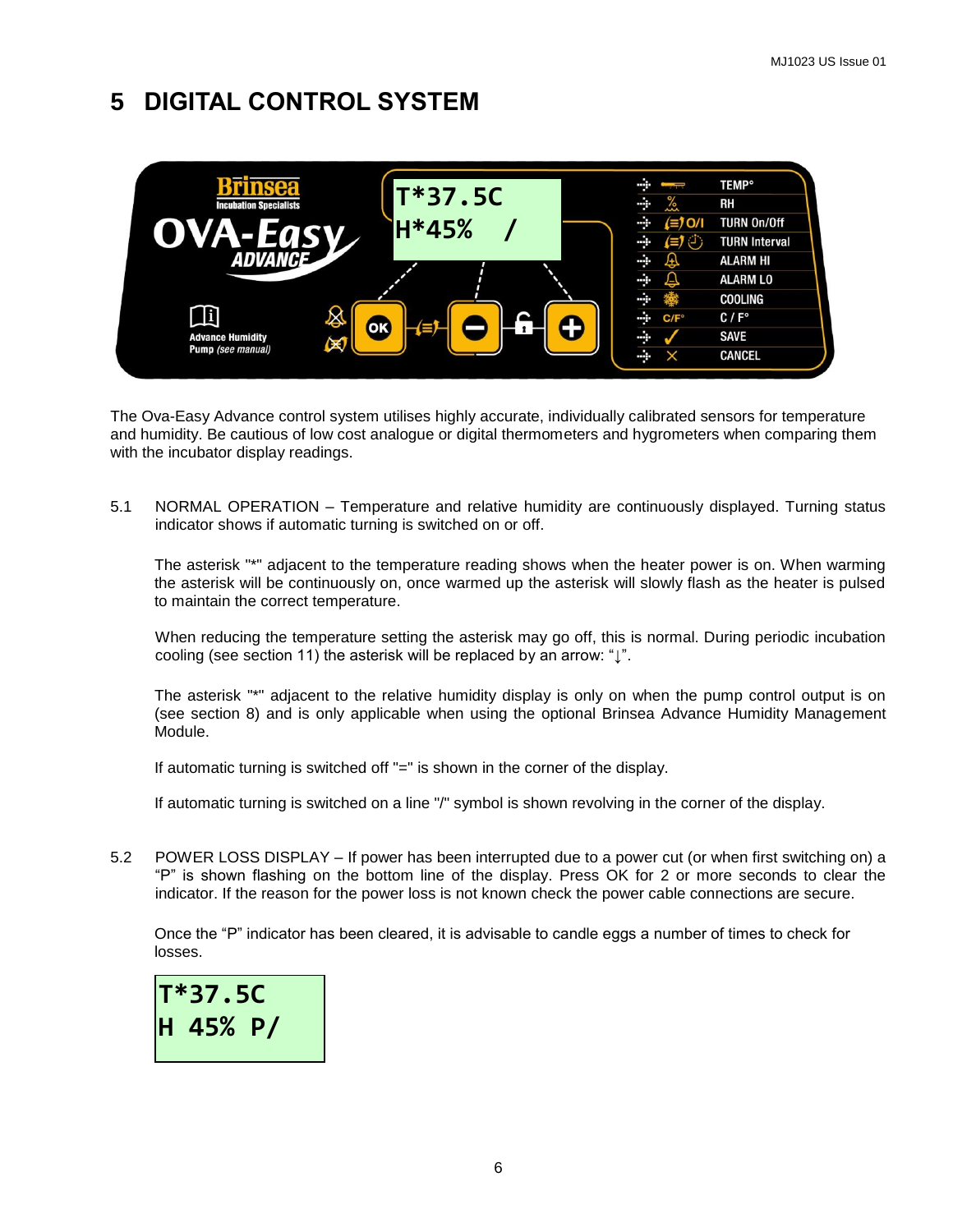## **5 DIGITAL CONTROL SYSTEM**



The Ova-Easy Advance control system utilises highly accurate, individually calibrated sensors for temperature and humidity. Be cautious of low cost analogue or digital thermometers and hygrometers when comparing them with the incubator display readings.

5.1 NORMAL OPERATION – Temperature and relative humidity are continuously displayed. Turning status indicator shows if automatic turning is switched on or off.

The asterisk "\*" adjacent to the temperature reading shows when the heater power is on. When warming the asterisk will be continuously on, once warmed up the asterisk will slowly flash as the heater is pulsed to maintain the correct temperature.

When reducing the temperature setting the asterisk may go off, this is normal. During periodic incubation cooling (see section 11) the asterisk will be replaced by an arrow: " $\mathbf{L}$ ".

The asterisk "\*" adjacent to the relative humidity display is only on when the pump control output is on (see section 8) and is only applicable when using the optional Brinsea Advance Humidity Management Module.

If automatic turning is switched off "=" is shown in the corner of the display.

If automatic turning is switched on a line "/" symbol is shown revolving in the corner of the display.

5.2 POWER LOSS DISPLAY – If power has been interrupted due to a power cut (or when first switching on) a "P" is shown flashing on the bottom line of the display. Press OK for 2 or more seconds to clear the indicator. If the reason for the power loss is not known check the power cable connections are secure.

Once the "P" indicator has been cleared, it is advisable to candle eggs a number of times to check for losses.

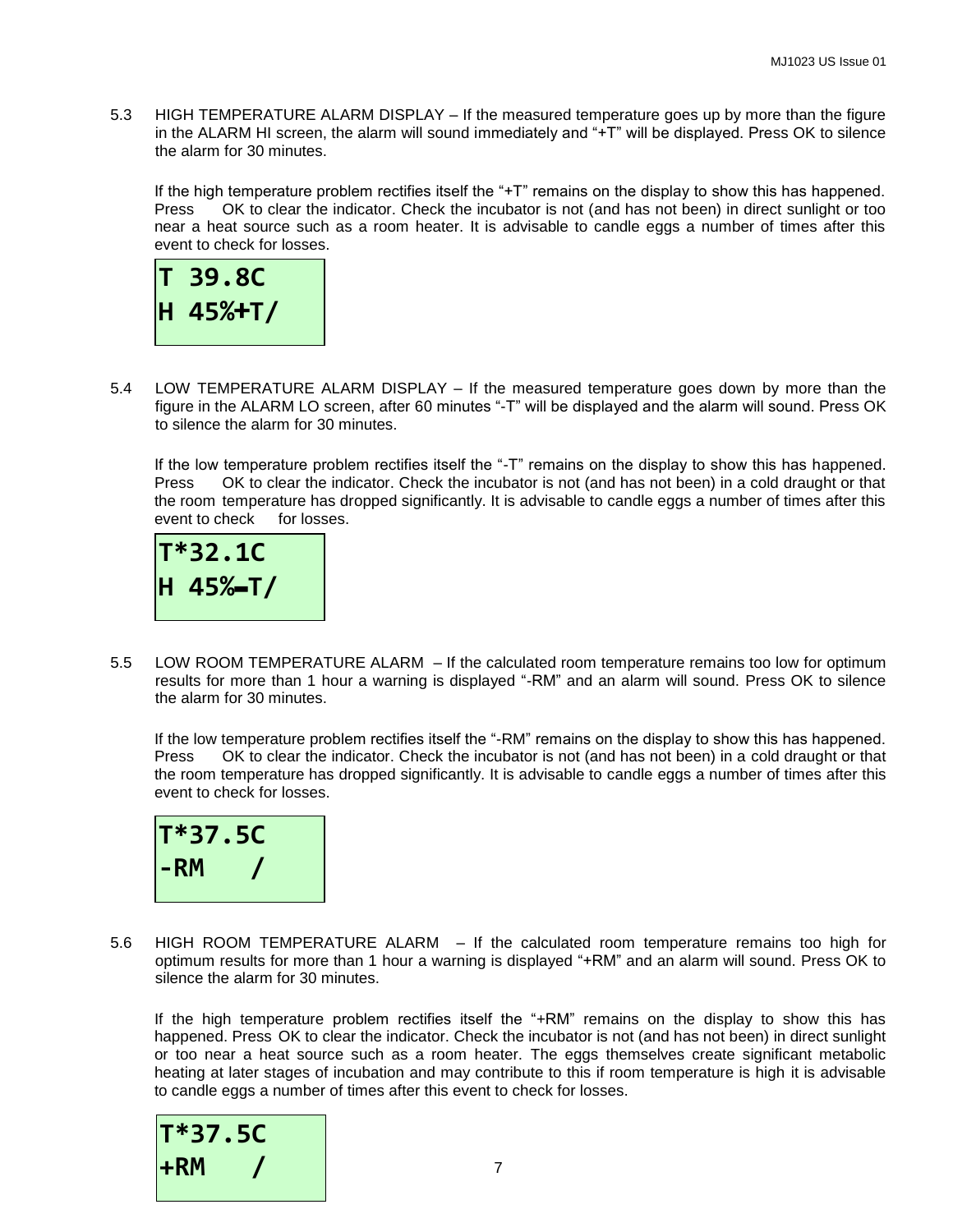5.3 HIGH TEMPERATURE ALARM DISPLAY – If the measured temperature goes up by more than the figure in the ALARM HI screen, the alarm will sound immediately and "+T" will be displayed. Press OK to silence the alarm for 30 minutes.

If the high temperature problem rectifies itself the "+T" remains on the display to show this has happened. Press OK to clear the indicator. Check the incubator is not (and has not been) in direct sunlight or too near a heat source such as a room heater. It is advisable to candle eggs a number of times after this event to check for losses.



5.4 LOW TEMPERATURE ALARM DISPLAY – If the measured temperature goes down by more than the figure in the ALARM LO screen, after 60 minutes "-T" will be displayed and the alarm will sound. Press OK to silence the alarm for 30 minutes.

If the low temperature problem rectifies itself the "-T" remains on the display to show this has happened. Press OK to clear the indicator. Check the incubator is not (and has not been) in a cold draught or that the room temperature has dropped significantly. It is advisable to candle eggs a number of times after this event to check for losses.



5.5 LOW ROOM TEMPERATURE ALARM – If the calculated room temperature remains too low for optimum results for more than 1 hour a warning is displayed "-RM" and an alarm will sound. Press OK to silence the alarm for 30 minutes.

If the low temperature problem rectifies itself the "-RM" remains on the display to show this has happened. Press OK to clear the indicator. Check the incubator is not (and has not been) in a cold draught or that the room temperature has dropped significantly. It is advisable to candle eggs a number of times after this event to check for losses.



5.6 HIGH ROOM TEMPERATURE ALARM – If the calculated room temperature remains too high for optimum results for more than 1 hour a warning is displayed "+RM" and an alarm will sound. Press OK to silence the alarm for 30 minutes.

If the high temperature problem rectifies itself the "+RM" remains on the display to show this has happened. Press OK to clear the indicator. Check the incubator is not (and has not been) in direct sunlight or too near a heat source such as a room heater. The eggs themselves create significant metabolic heating at later stages of incubation and may contribute to this if room temperature is high it is advisable to candle eggs a number of times after this event to check for losses.

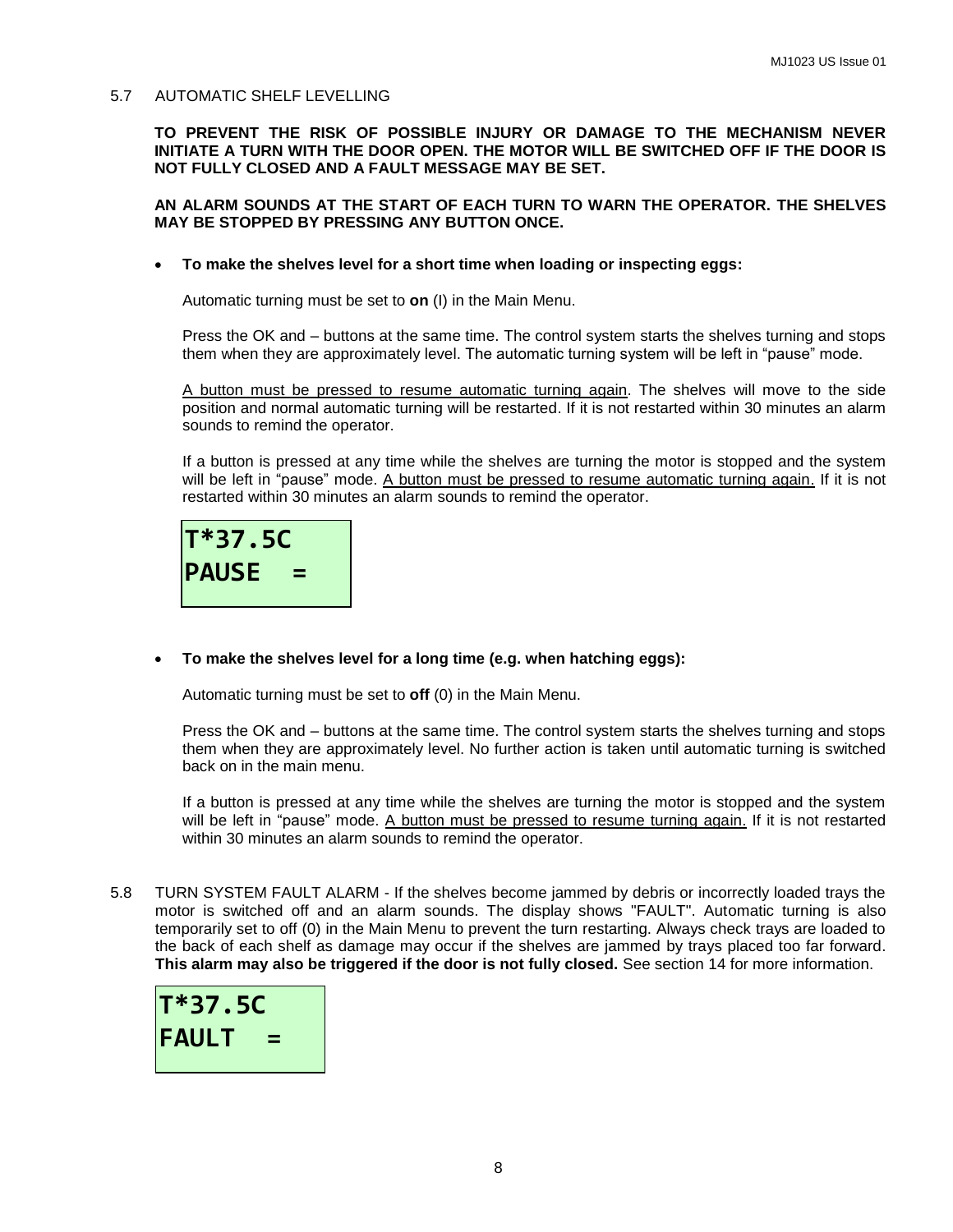#### 5.7 AUTOMATIC SHELF LEVELLING

**TO PREVENT THE RISK OF POSSIBLE INJURY OR DAMAGE TO THE MECHANISM NEVER INITIATE A TURN WITH THE DOOR OPEN. THE MOTOR WILL BE SWITCHED OFF IF THE DOOR IS NOT FULLY CLOSED AND A FAULT MESSAGE MAY BE SET.**

#### **AN ALARM SOUNDS AT THE START OF EACH TURN TO WARN THE OPERATOR. THE SHELVES MAY BE STOPPED BY PRESSING ANY BUTTON ONCE.**

**To make the shelves level for a short time when loading or inspecting eggs:**

Automatic turning must be set to **on** (I) in the Main Menu.

Press the OK and – buttons at the same time. The control system starts the shelves turning and stops them when they are approximately level. The automatic turning system will be left in "pause" mode.

A button must be pressed to resume automatic turning again. The shelves will move to the side position and normal automatic turning will be restarted. If it is not restarted within 30 minutes an alarm sounds to remind the operator.

If a button is pressed at any time while the shelves are turning the motor is stopped and the system will be left in "pause" mode. A button must be pressed to resume automatic turning again. If it is not restarted within 30 minutes an alarm sounds to remind the operator.



**To make the shelves level for a long time (e.g. when hatching eggs):**

Automatic turning must be set to **off** (0) in the Main Menu.

Press the OK and – buttons at the same time. The control system starts the shelves turning and stops them when they are approximately level. No further action is taken until automatic turning is switched back on in the main menu.

If a button is pressed at any time while the shelves are turning the motor is stopped and the system will be left in "pause" mode. A button must be pressed to resume turning again. If it is not restarted within 30 minutes an alarm sounds to remind the operator.

5.8 TURN SYSTEM FAULT ALARM - If the shelves become jammed by debris or incorrectly loaded trays the motor is switched off and an alarm sounds. The display shows "FAULT". Automatic turning is also temporarily set to off (0) in the Main Menu to prevent the turn restarting. Always check trays are loaded to the back of each shelf as damage may occur if the shelves are jammed by trays placed too far forward. **This alarm may also be triggered if the door is not fully closed.** See section 14 for more information.

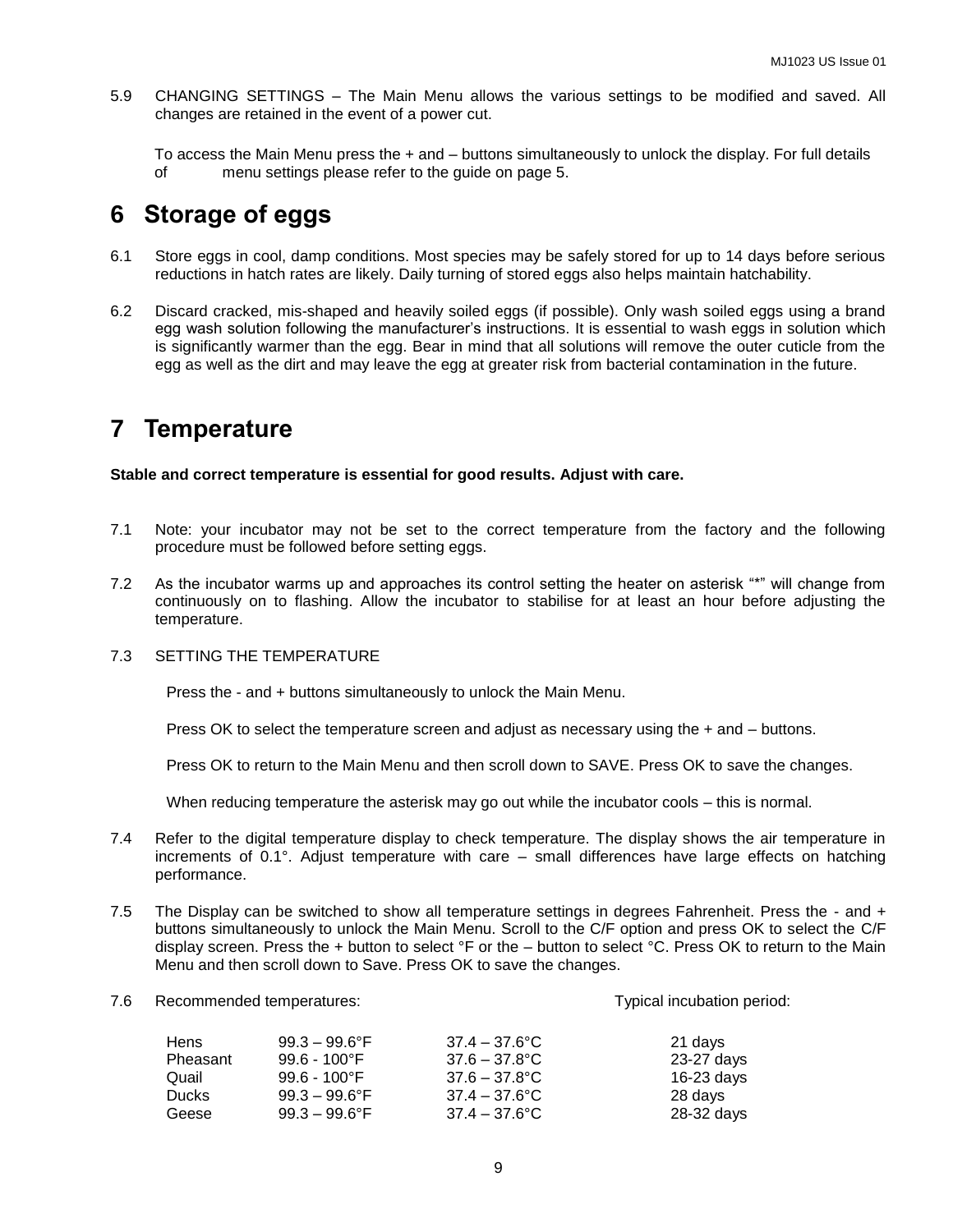5.9 CHANGING SETTINGS – The Main Menu allows the various settings to be modified and saved. All changes are retained in the event of a power cut.

To access the Main Menu press the + and – buttons simultaneously to unlock the display. For full details of menu settings please refer to the guide on page 5.

## **6 Storage of eggs**

- 6.1 Store eggs in cool, damp conditions. Most species may be safely stored for up to 14 days before serious reductions in hatch rates are likely. Daily turning of stored eggs also helps maintain hatchability.
- 6.2 Discard cracked, mis-shaped and heavily soiled eggs (if possible). Only wash soiled eggs using a brand egg wash solution following the manufacturer's instructions. It is essential to wash eggs in solution which is significantly warmer than the egg. Bear in mind that all solutions will remove the outer cuticle from the egg as well as the dirt and may leave the egg at greater risk from bacterial contamination in the future.

## **7 Temperature**

#### **Stable and correct temperature is essential for good results. Adjust with care.**

- 7.1 Note: your incubator may not be set to the correct temperature from the factory and the following procedure must be followed before setting eggs.
- 7.2 As the incubator warms up and approaches its control setting the heater on asterisk "\*" will change from continuously on to flashing. Allow the incubator to stabilise for at least an hour before adjusting the temperature.

#### 7.3 SETTING THE TEMPERATURE

Press the - and + buttons simultaneously to unlock the Main Menu.

Press OK to select the temperature screen and adjust as necessary using the + and – buttons.

Press OK to return to the Main Menu and then scroll down to SAVE. Press OK to save the changes.

When reducing temperature the asterisk may go out while the incubator cools – this is normal.

- 7.4 Refer to the digital temperature display to check temperature. The display shows the air temperature in increments of 0.1°. Adjust temperature with care – small differences have large effects on hatching performance.
- 7.5 The Display can be switched to show all temperature settings in degrees Fahrenheit. Press the and + buttons simultaneously to unlock the Main Menu. Scroll to the C/F option and press OK to select the C/F display screen. Press the + button to select °F or the – button to select °C. Press OK to return to the Main Menu and then scroll down to Save. Press OK to save the changes.
- 7.6 Recommended temperatures: Typical incubation period:

| <b>Hens</b>  | $99.3 - 99.6^{\circ}$ F | $37.4 - 37.6$ °C | 21 days    |
|--------------|-------------------------|------------------|------------|
| Pheasant     | $99.6 - 100^{\circ}F$   | $37.6 - 37.8$ °C | 23-27 days |
| Quail        | $99.6 - 100^{\circ}F$   | 37.6 – 37.8°C    | 16-23 days |
| <b>Ducks</b> | $99.3 - 99.6^{\circ}$ F | $37.4 - 37.6$ °C | 28 days    |
| Geese        | $99.3 - 99.6^{\circ}$ F | $37.4 - 37.6$ °C | 28-32 days |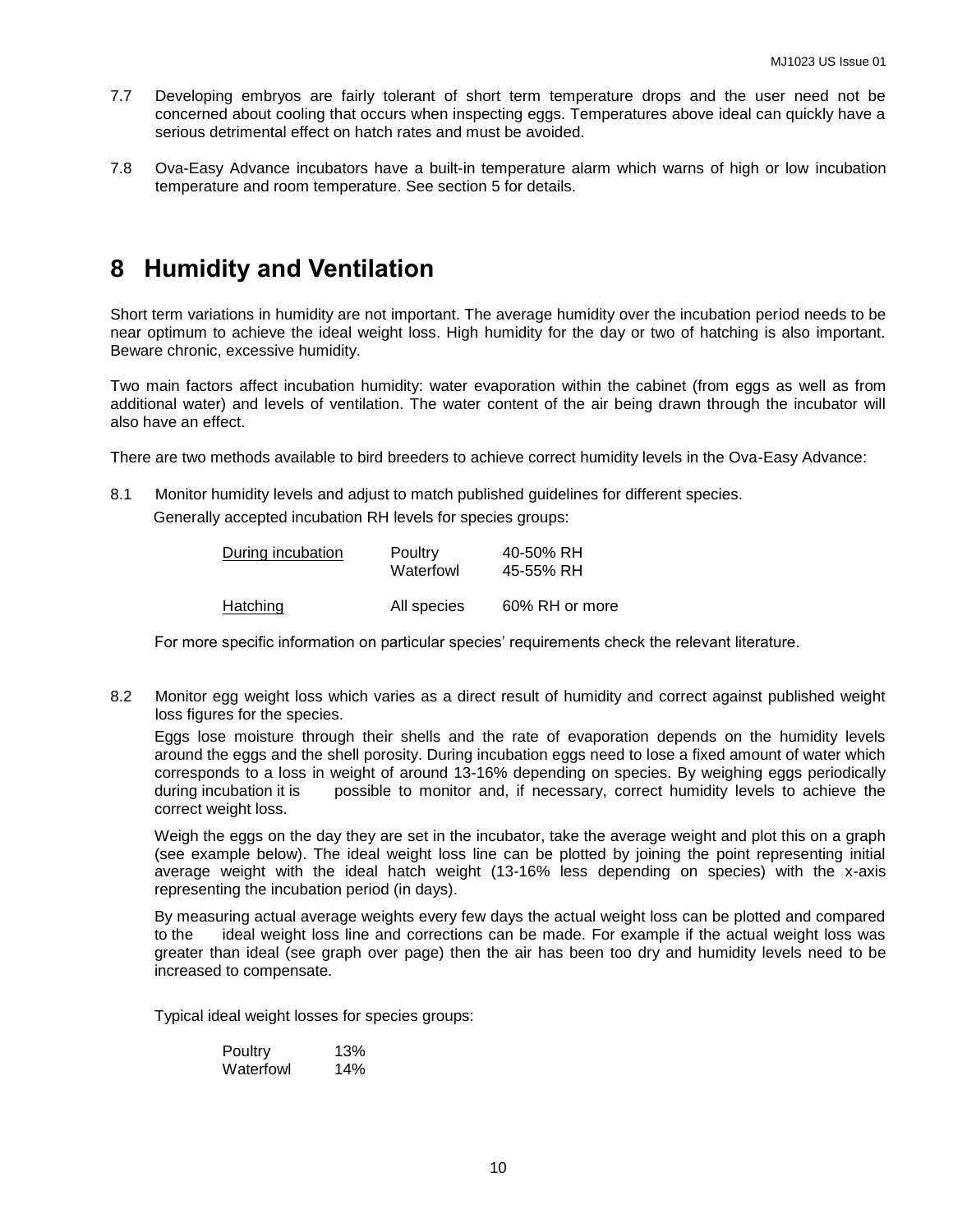- 7.7 Developing embryos are fairly tolerant of short term temperature drops and the user need not be concerned about cooling that occurs when inspecting eggs. Temperatures above ideal can quickly have a serious detrimental effect on hatch rates and must be avoided.
- 7.8 Ova-Easy Advance incubators have a built-in temperature alarm which warns of high or low incubation temperature and room temperature. See section 5 for details.

## **8 Humidity and Ventilation**

Short term variations in humidity are not important. The average humidity over the incubation period needs to be near optimum to achieve the ideal weight loss. High humidity for the day or two of hatching is also important. Beware chronic, excessive humidity.

Two main factors affect incubation humidity: water evaporation within the cabinet (from eggs as well as from additional water) and levels of ventilation. The water content of the air being drawn through the incubator will also have an effect.

There are two methods available to bird breeders to achieve correct humidity levels in the Ova-Easy Advance:

8.1 Monitor humidity levels and adjust to match published guidelines for different species.

Generally accepted incubation RH levels for species groups:

| During incubation | Poultry<br>Waterfowl | 40-50% RH<br>45-55% RH |
|-------------------|----------------------|------------------------|
| Hatching          | All species          | 60% RH or more         |

For more specific information on particular species' requirements check the relevant literature.

8.2 Monitor egg weight loss which varies as a direct result of humidity and correct against published weight loss figures for the species.

Eggs lose moisture through their shells and the rate of evaporation depends on the humidity levels around the eggs and the shell porosity. During incubation eggs need to lose a fixed amount of water which corresponds to a loss in weight of around 13-16% depending on species. By weighing eggs periodically during incubation it is possible to monitor and, if necessary, correct humidity levels to achieve the correct weight loss.

Weigh the eggs on the day they are set in the incubator, take the average weight and plot this on a graph (see example below). The ideal weight loss line can be plotted by joining the point representing initial average weight with the ideal hatch weight (13-16% less depending on species) with the x-axis representing the incubation period (in days).

By measuring actual average weights every few days the actual weight loss can be plotted and compared to the ideal weight loss line and corrections can be made. For example if the actual weight loss was greater than ideal (see graph over page) then the air has been too dry and humidity levels need to be increased to compensate.

Typical ideal weight losses for species groups:

| Poultry   | 13% |
|-----------|-----|
| Waterfowl | 14% |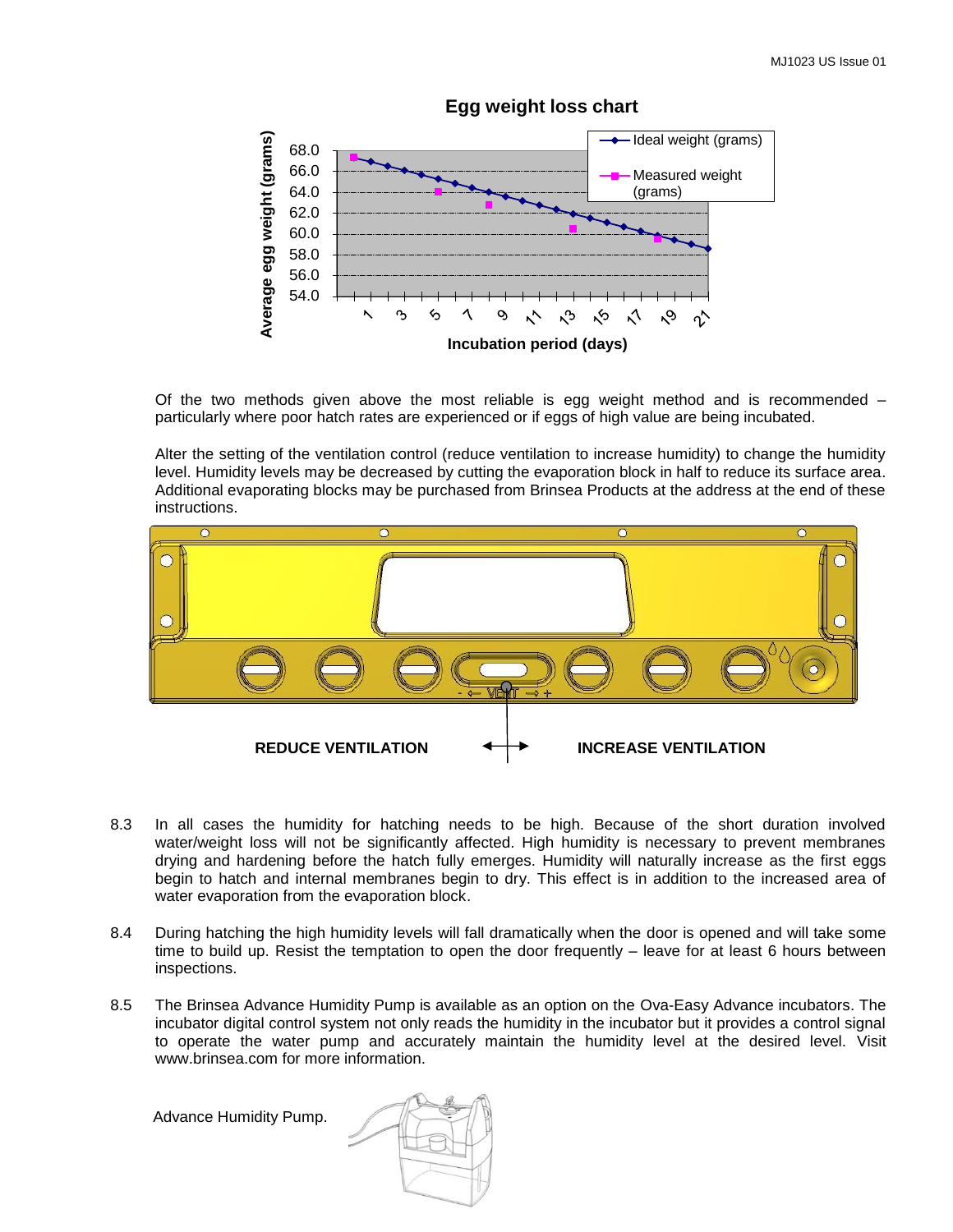

**Egg weight loss chart**

Of the two methods given above the most reliable is egg weight method and is recommended – particularly where poor hatch rates are experienced or if eggs of high value are being incubated.

Alter the setting of the ventilation control (reduce ventilation to increase humidity) to change the humidity level. Humidity levels may be decreased by cutting the evaporation block in half to reduce its surface area. Additional evaporating blocks may be purchased from Brinsea Products at the address at the end of these instructions.



- 8.3 In all cases the humidity for hatching needs to be high. Because of the short duration involved water/weight loss will not be significantly affected. High humidity is necessary to prevent membranes drying and hardening before the hatch fully emerges. Humidity will naturally increase as the first eggs begin to hatch and internal membranes begin to dry. This effect is in addition to the increased area of water evaporation from the evaporation block.
- 8.4 During hatching the high humidity levels will fall dramatically when the door is opened and will take some time to build up. Resist the temptation to open the door frequently – leave for at least 6 hours between inspections.
- 8.5 The Brinsea Advance Humidity Pump is available as an option on the Ova-Easy Advance incubators. The incubator digital control system not only reads the humidity in the incubator but it provides a control signal to operate the water pump and accurately maintain the humidity level at the desired level. Visit www.brinsea.com for more information.

Advance Humidity Pump.

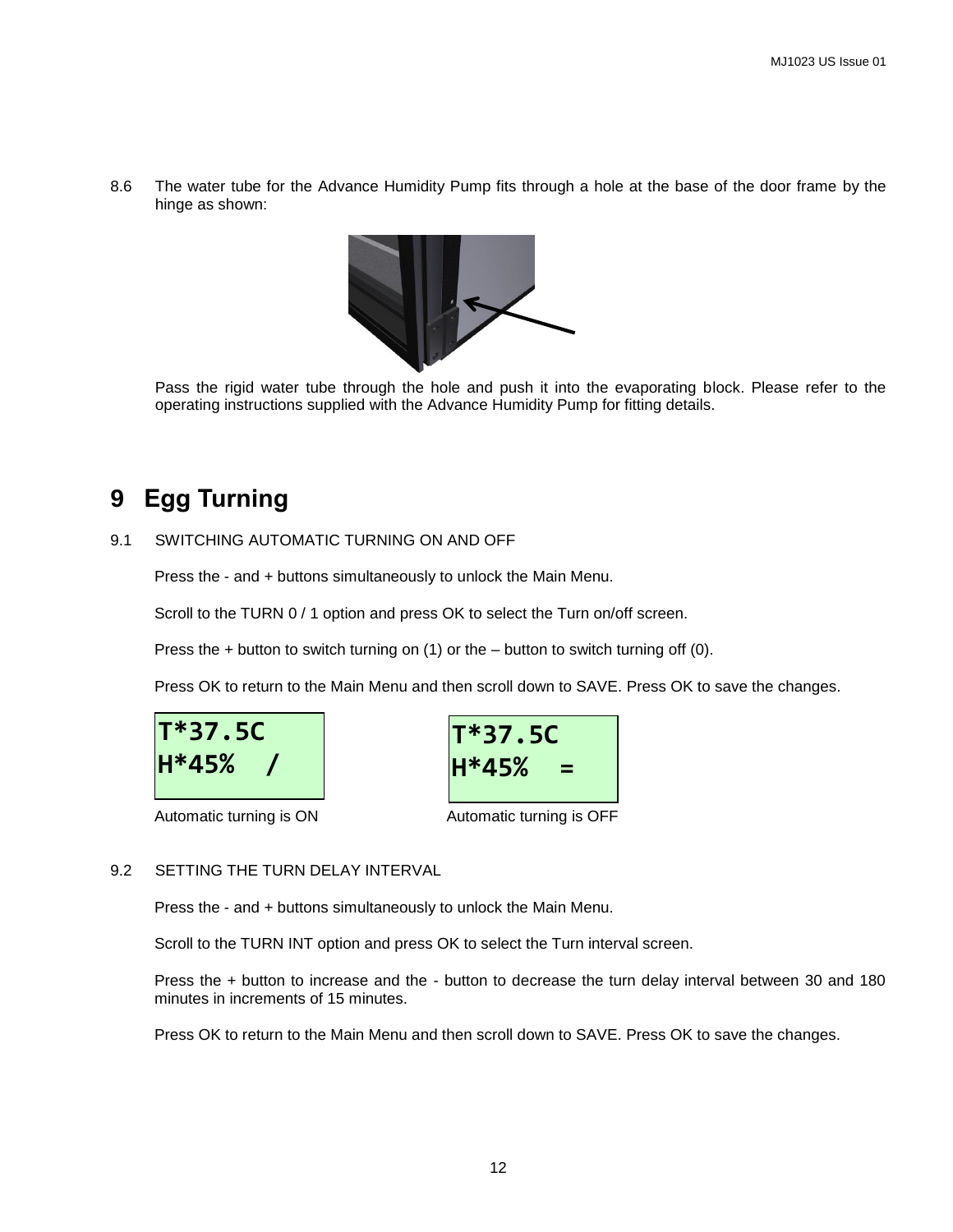8.6 The water tube for the Advance Humidity Pump fits through a hole at the base of the door frame by the hinge as shown:



Pass the rigid water tube through the hole and push it into the evaporating block. Please refer to the operating instructions supplied with the Advance Humidity Pump for fitting details.

## **9 Egg Turning**

#### 9.1 SWITCHING AUTOMATIC TURNING ON AND OFF

Press the - and + buttons simultaneously to unlock the Main Menu.

Scroll to the TURN 0 / 1 option and press OK to select the Turn on/off screen.

Press the + button to switch turning on (1) or the – button to switch turning off (0).

Press OK to return to the Main Menu and then scroll down to SAVE. Press OK to save the changes.





Automatic turning is ON Automatic turning is OFF

#### 9.2 SETTING THE TURN DELAY INTERVAL

Press the - and + buttons simultaneously to unlock the Main Menu.

Scroll to the TURN INT option and press OK to select the Turn interval screen.

Press the + button to increase and the - button to decrease the turn delay interval between 30 and 180 minutes in increments of 15 minutes.

Press OK to return to the Main Menu and then scroll down to SAVE. Press OK to save the changes.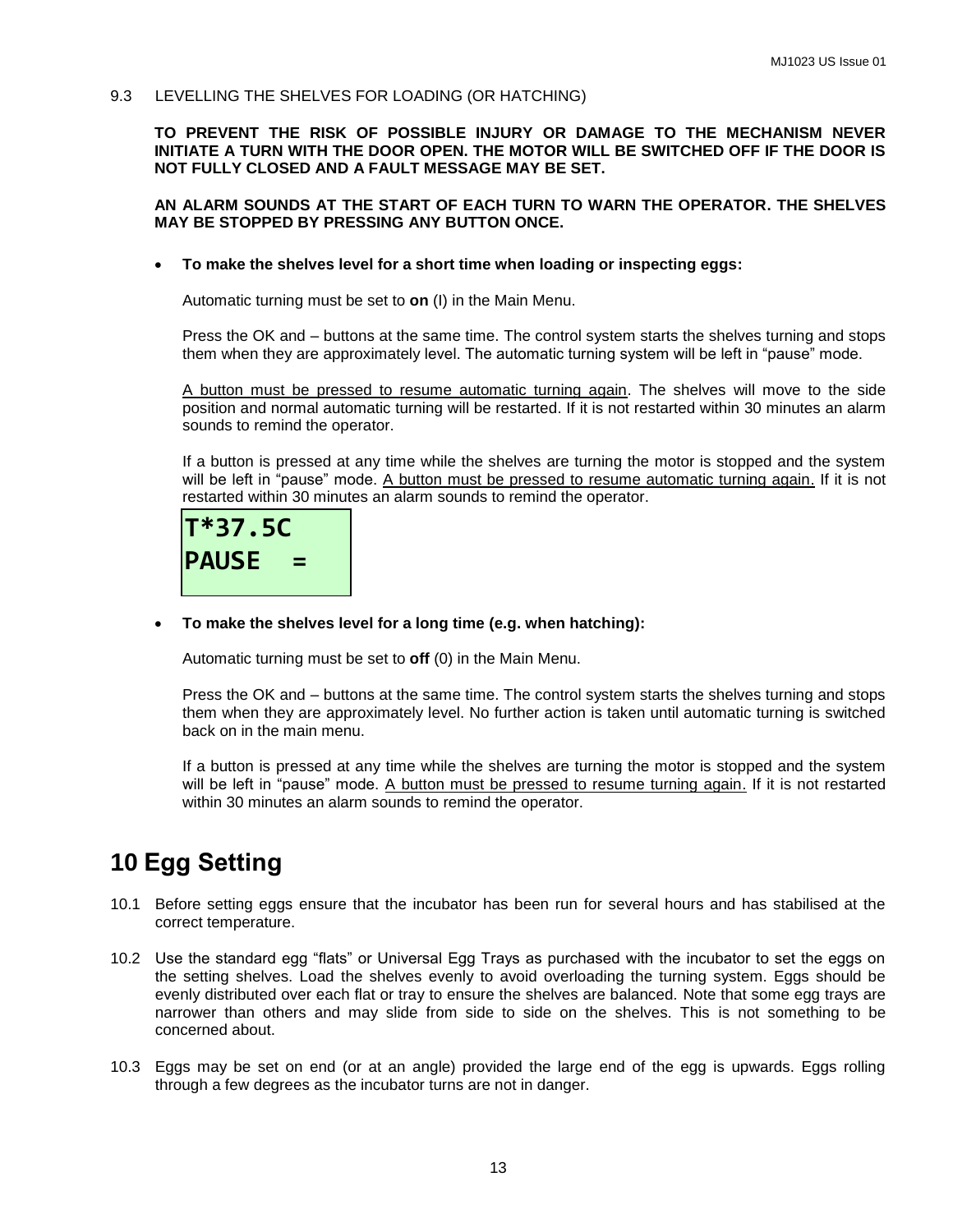9.3 LEVELLING THE SHELVES FOR LOADING (OR HATCHING)

**TO PREVENT THE RISK OF POSSIBLE INJURY OR DAMAGE TO THE MECHANISM NEVER INITIATE A TURN WITH THE DOOR OPEN. THE MOTOR WILL BE SWITCHED OFF IF THE DOOR IS NOT FULLY CLOSED AND A FAULT MESSAGE MAY BE SET.**

#### **AN ALARM SOUNDS AT THE START OF EACH TURN TO WARN THE OPERATOR. THE SHELVES MAY BE STOPPED BY PRESSING ANY BUTTON ONCE.**

**To make the shelves level for a short time when loading or inspecting eggs:**

Automatic turning must be set to **on** (I) in the Main Menu.

Press the OK and – buttons at the same time. The control system starts the shelves turning and stops them when they are approximately level. The automatic turning system will be left in "pause" mode.

A button must be pressed to resume automatic turning again. The shelves will move to the side position and normal automatic turning will be restarted. If it is not restarted within 30 minutes an alarm sounds to remind the operator.

If a button is pressed at any time while the shelves are turning the motor is stopped and the system will be left in "pause" mode. A button must be pressed to resume automatic turning again. If it is not restarted within 30 minutes an alarm sounds to remind the operator.



**To make the shelves level for a long time (e.g. when hatching):**

Automatic turning must be set to **off** (0) in the Main Menu.

Press the OK and – buttons at the same time. The control system starts the shelves turning and stops them when they are approximately level. No further action is taken until automatic turning is switched back on in the main menu.

If a button is pressed at any time while the shelves are turning the motor is stopped and the system will be left in "pause" mode. A button must be pressed to resume turning again. If it is not restarted within 30 minutes an alarm sounds to remind the operator.

## **10 Egg Setting**

- 10.1 Before setting eggs ensure that the incubator has been run for several hours and has stabilised at the correct temperature.
- 10.2 Use the standard egg "flats" or Universal Egg Trays as purchased with the incubator to set the eggs on the setting shelves. Load the shelves evenly to avoid overloading the turning system. Eggs should be evenly distributed over each flat or tray to ensure the shelves are balanced. Note that some egg trays are narrower than others and may slide from side to side on the shelves. This is not something to be concerned about.
- 10.3 Eggs may be set on end (or at an angle) provided the large end of the egg is upwards. Eggs rolling through a few degrees as the incubator turns are not in danger.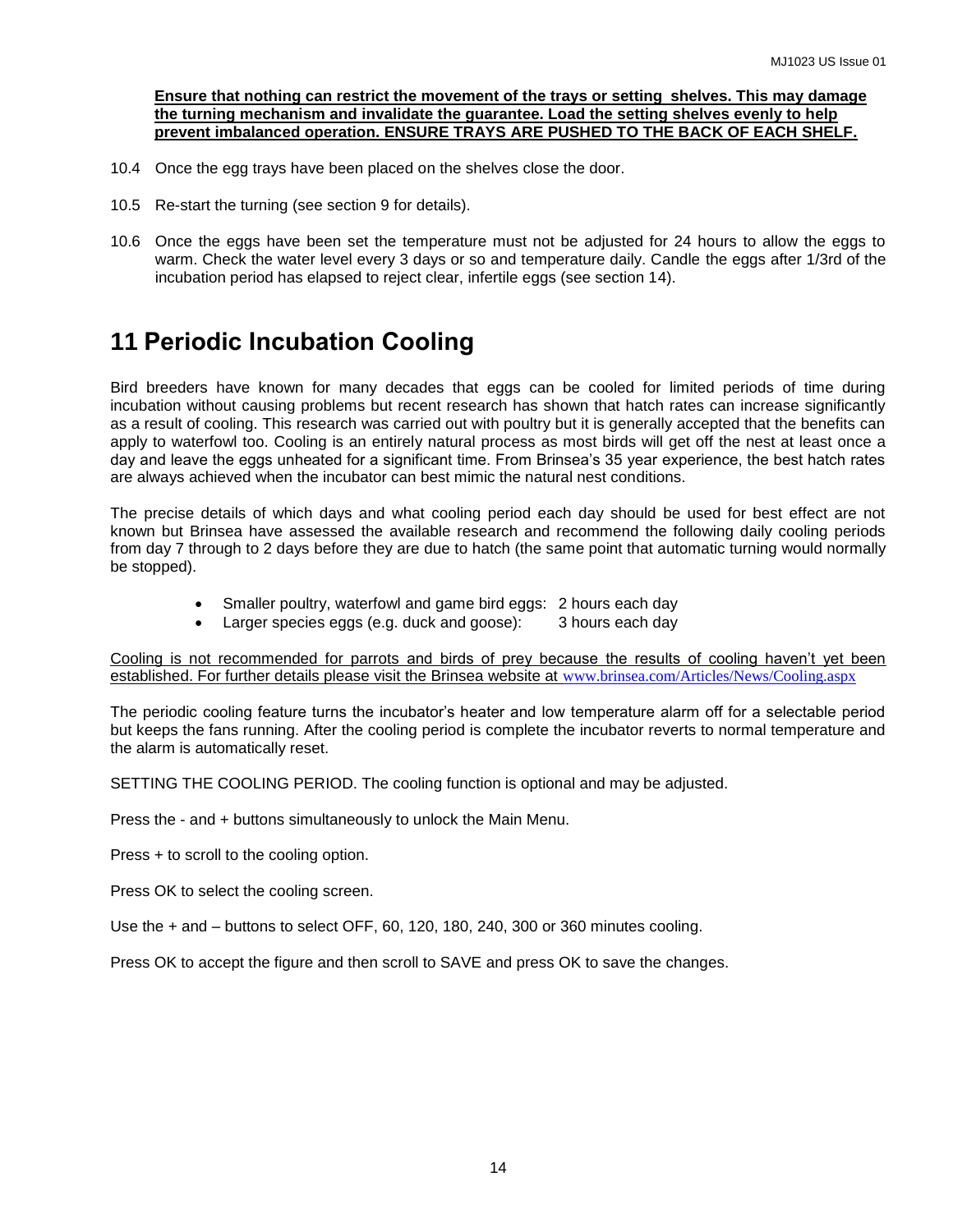#### **Ensure that nothing can restrict the movement of the trays or setting shelves. This may damage the turning mechanism and invalidate the guarantee. Load the setting shelves evenly to help prevent imbalanced operation. ENSURE TRAYS ARE PUSHED TO THE BACK OF EACH SHELF.**

- 10.4 Once the egg trays have been placed on the shelves close the door.
- 10.5 Re-start the turning (see section 9 for details).
- 10.6 Once the eggs have been set the temperature must not be adjusted for 24 hours to allow the eggs to warm. Check the water level every 3 days or so and temperature daily. Candle the eggs after 1/3rd of the incubation period has elapsed to reject clear, infertile eggs (see section 14).

## **11 Periodic Incubation Cooling**

Bird breeders have known for many decades that eggs can be cooled for limited periods of time during incubation without causing problems but recent research has shown that hatch rates can increase significantly as a result of cooling. This research was carried out with poultry but it is generally accepted that the benefits can apply to waterfowl too. Cooling is an entirely natural process as most birds will get off the nest at least once a day and leave the eggs unheated for a significant time. From Brinsea's 35 year experience, the best hatch rates are always achieved when the incubator can best mimic the natural nest conditions.

The precise details of which days and what cooling period each day should be used for best effect are not known but Brinsea have assessed the available research and recommend the following daily cooling periods from day 7 through to 2 days before they are due to hatch (the same point that automatic turning would normally be stopped).

- Smaller poultry, waterfowl and game bird eggs: 2 hours each day
- Larger species eggs (e.g. duck and goose): 3 hours each day

Cooling is not recommended for parrots and birds of prey because the results of cooling haven't yet been established. For further details please visit the Brinsea website at [www.brinsea.com/Articles/News/Cooling.aspx](http://www.brinsea.com/Articles/News/Cooling.aspx)

The periodic cooling feature turns the incubator's heater and low temperature alarm off for a selectable period but keeps the fans running. After the cooling period is complete the incubator reverts to normal temperature and the alarm is automatically reset.

SETTING THE COOLING PERIOD. The cooling function is optional and may be adjusted.

Press the - and + buttons simultaneously to unlock the Main Menu.

Press + to scroll to the cooling option.

Press OK to select the cooling screen.

Use the + and – buttons to select OFF, 60, 120, 180, 240, 300 or 360 minutes cooling.

Press OK to accept the figure and then scroll to SAVE and press OK to save the changes.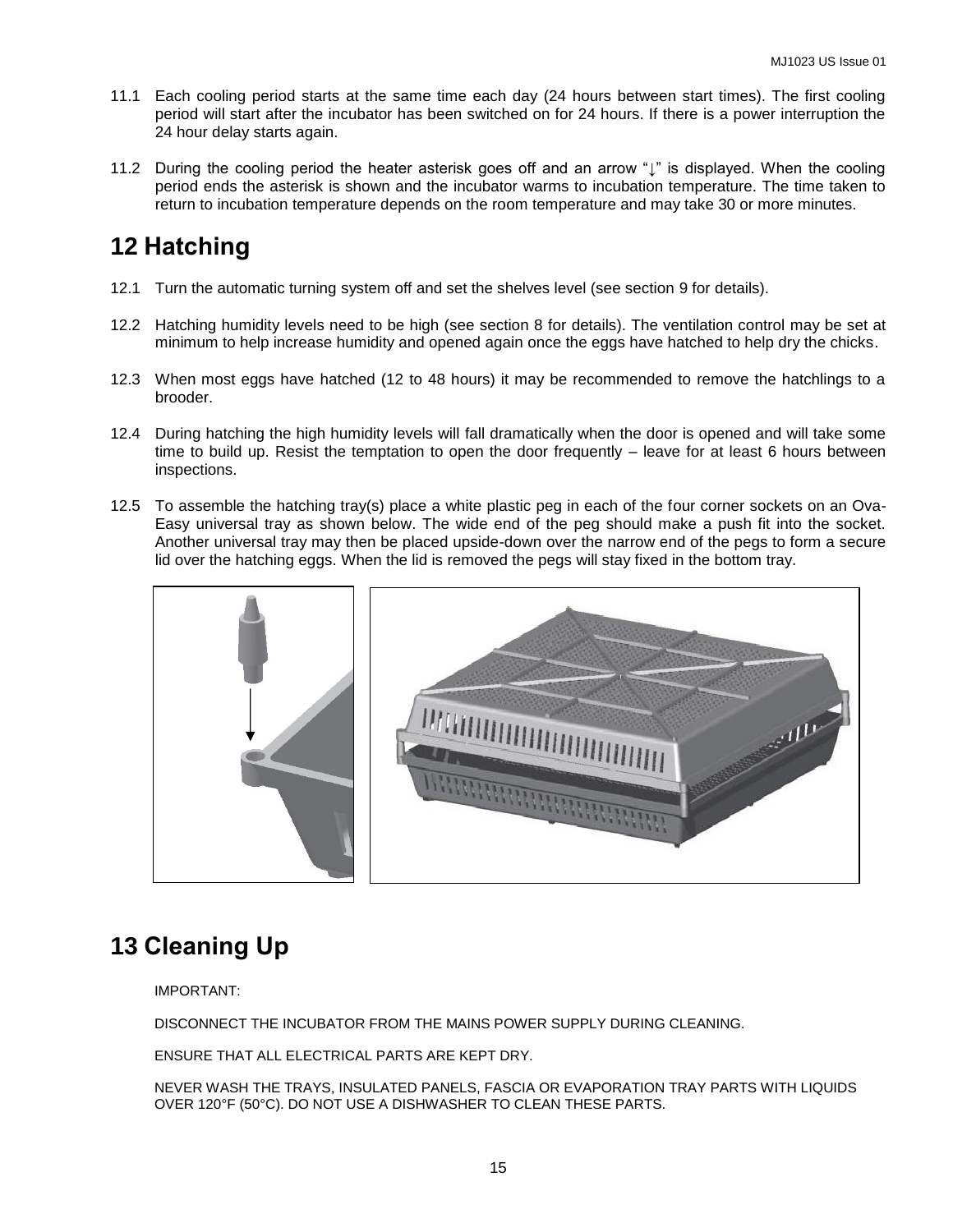- 11.1 Each cooling period starts at the same time each day (24 hours between start times). The first cooling period will start after the incubator has been switched on for 24 hours. If there is a power interruption the 24 hour delay starts again.
- 11.2 During the cooling period the heater asterisk goes off and an arrow "↓" is displayed. When the cooling period ends the asterisk is shown and the incubator warms to incubation temperature. The time taken to return to incubation temperature depends on the room temperature and may take 30 or more minutes.

## **12 Hatching**

- 12.1 Turn the automatic turning system off and set the shelves level (see section 9 for details).
- 12.2 Hatching humidity levels need to be high (see section 8 for details). The ventilation control may be set at minimum to help increase humidity and opened again once the eggs have hatched to help dry the chicks.
- 12.3 When most eggs have hatched (12 to 48 hours) it may be recommended to remove the hatchlings to a brooder.
- 12.4 During hatching the high humidity levels will fall dramatically when the door is opened and will take some time to build up. Resist the temptation to open the door frequently – leave for at least 6 hours between inspections.
- 12.5 To assemble the hatching tray(s) place a white plastic peg in each of the four corner sockets on an Ova-Easy universal tray as shown below. The wide end of the peg should make a push fit into the socket. Another universal tray may then be placed upside-down over the narrow end of the pegs to form a secure lid over the hatching eggs. When the lid is removed the pegs will stay fixed in the bottom tray.



## **13 Cleaning Up**

IMPORTANT:

DISCONNECT THE INCUBATOR FROM THE MAINS POWER SUPPLY DURING CLEANING.

ENSURE THAT ALL ELECTRICAL PARTS ARE KEPT DRY.

NEVER WASH THE TRAYS, INSULATED PANELS, FASCIA OR EVAPORATION TRAY PARTS WITH LIQUIDS OVER 120°F (50°C). DO NOT USE A DISHWASHER TO CLEAN THESE PARTS.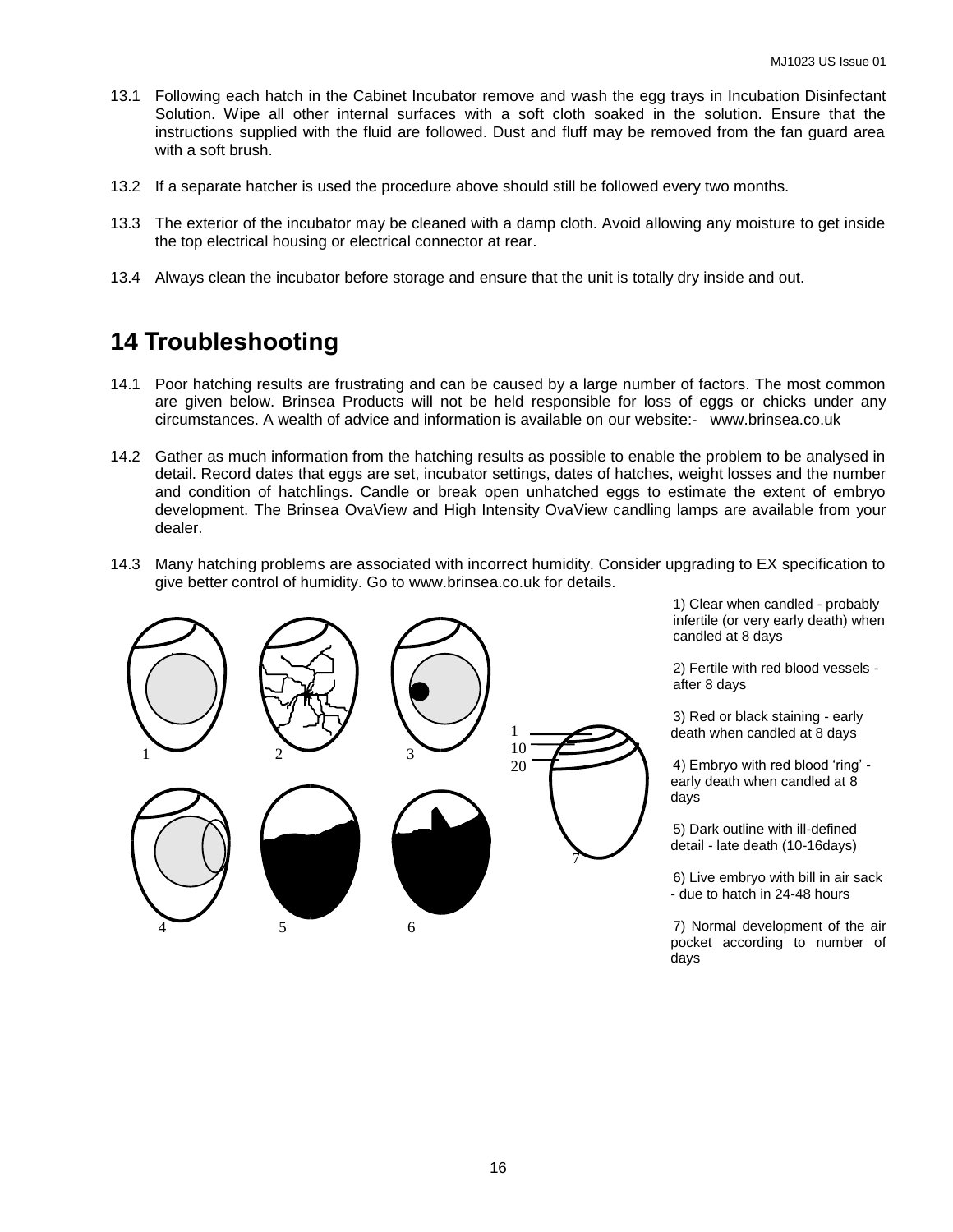- 13.1 Following each hatch in the Cabinet Incubator remove and wash the egg trays in Incubation Disinfectant Solution. Wipe all other internal surfaces with a soft cloth soaked in the solution. Ensure that the instructions supplied with the fluid are followed. Dust and fluff may be removed from the fan guard area with a soft brush.
- 13.2 If a separate hatcher is used the procedure above should still be followed every two months.
- 13.3 The exterior of the incubator may be cleaned with a damp cloth. Avoid allowing any moisture to get inside the top electrical housing or electrical connector at rear.
- 13.4 Always clean the incubator before storage and ensure that the unit is totally dry inside and out.

## **14 Troubleshooting**

- 14.1 Poor hatching results are frustrating and can be caused by a large number of factors. The most common are given below. Brinsea Products will not be held responsible for loss of eggs or chicks under any circumstances. A wealth of advice and information is available on our website:- www.brinsea.co.uk
- 14.2 Gather as much information from the hatching results as possible to enable the problem to be analysed in detail. Record dates that eggs are set, incubator settings, dates of hatches, weight losses and the number and condition of hatchlings. Candle or break open unhatched eggs to estimate the extent of embryo development. The Brinsea OvaView and High Intensity OvaView candling lamps are available from your dealer.
- 14.3 Many hatching problems are associated with incorrect humidity. Consider upgrading to EX specification to give better control of humidity. Go to www.brinsea.co.uk for details.



1) Clear when candled - probably infertile (or very early death) when candled at 8 days

2) Fertile with red blood vessels after 8 days

3) Red or black staining - early death when candled at 8 days

4) Embryo with red blood 'ring' early death when candled at 8 days

5) Dark outline with ill-defined detail - late death (10-16days)

6) Live embryo with bill in air sack - due to hatch in 24-48 hours

7) Normal development of the air pocket according to number of days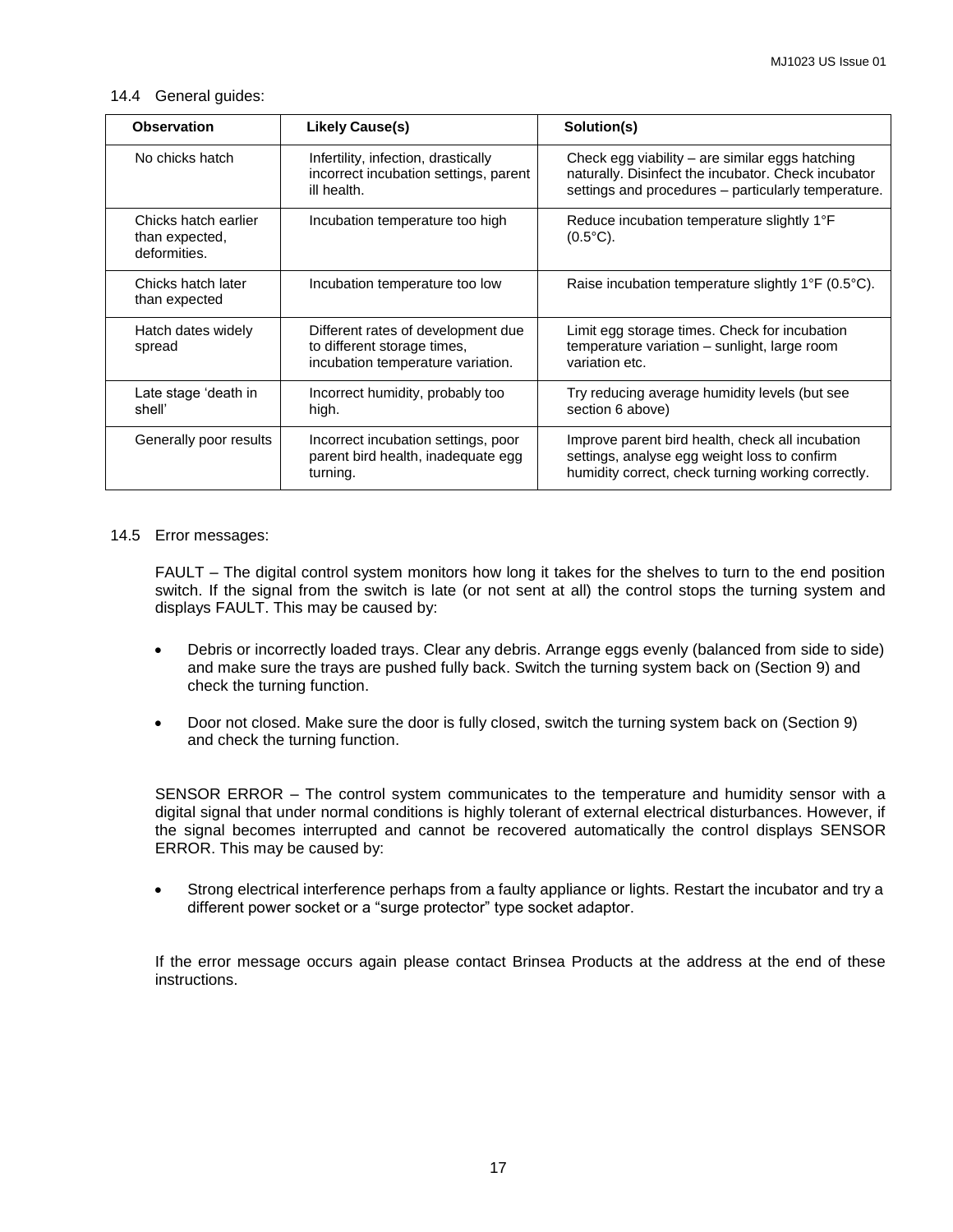#### 14.4 General guides:

| <b>Observation</b>                                     | <b>Likely Cause(s)</b>                                                                                 | Solution(s)                                                                                                                                                   |
|--------------------------------------------------------|--------------------------------------------------------------------------------------------------------|---------------------------------------------------------------------------------------------------------------------------------------------------------------|
| No chicks hatch                                        | Infertility, infection, drastically<br>incorrect incubation settings, parent<br>ill health.            | Check egg viability – are similar eggs hatching<br>naturally. Disinfect the incubator. Check incubator<br>settings and procedures - particularly temperature. |
| Chicks hatch earlier<br>than expected,<br>deformities. | Incubation temperature too high                                                                        | Reduce incubation temperature slightly 1°F<br>$(0.5^{\circ}C).$                                                                                               |
| Chicks hatch later<br>than expected                    | Incubation temperature too low                                                                         | Raise incubation temperature slightly 1°F (0.5°C).                                                                                                            |
| Hatch dates widely<br>spread                           | Different rates of development due<br>to different storage times,<br>incubation temperature variation. | Limit egg storage times. Check for incubation<br>temperature variation - sunlight, large room<br>variation etc.                                               |
| Late stage 'death in<br>shell'                         | Incorrect humidity, probably too<br>high.                                                              | Try reducing average humidity levels (but see<br>section 6 above)                                                                                             |
| Generally poor results                                 | Incorrect incubation settings, poor<br>parent bird health, inadequate egg<br>turning.                  | Improve parent bird health, check all incubation<br>settings, analyse egg weight loss to confirm<br>humidity correct, check turning working correctly.        |

#### 14.5 Error messages:

FAULT – The digital control system monitors how long it takes for the shelves to turn to the end position switch. If the signal from the switch is late (or not sent at all) the control stops the turning system and displays FAULT. This may be caused by:

- Debris or incorrectly loaded trays. Clear any debris. Arrange eggs evenly (balanced from side to side) and make sure the trays are pushed fully back. Switch the turning system back on (Section 9) and check the turning function.
- Door not closed. Make sure the door is fully closed, switch the turning system back on (Section 9) and check the turning function.

SENSOR ERROR – The control system communicates to the temperature and humidity sensor with a digital signal that under normal conditions is highly tolerant of external electrical disturbances. However, if the signal becomes interrupted and cannot be recovered automatically the control displays SENSOR ERROR. This may be caused by:

 Strong electrical interference perhaps from a faulty appliance or lights. Restart the incubator and try a different power socket or a "surge protector" type socket adaptor.

If the error message occurs again please contact Brinsea Products at the address at the end of these instructions.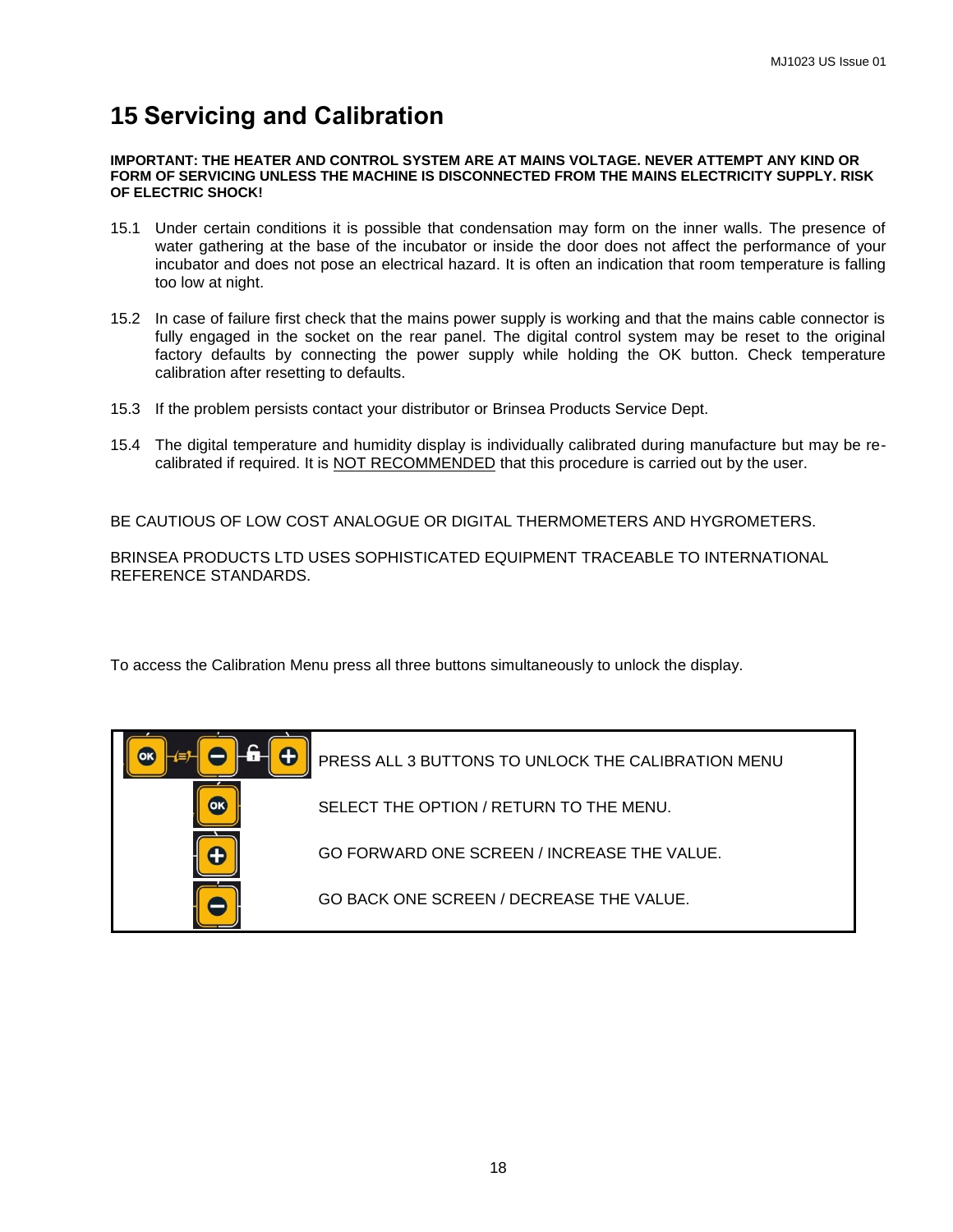## **15 Servicing and Calibration**

#### **IMPORTANT: THE HEATER AND CONTROL SYSTEM ARE AT MAINS VOLTAGE. NEVER ATTEMPT ANY KIND OR FORM OF SERVICING UNLESS THE MACHINE IS DISCONNECTED FROM THE MAINS ELECTRICITY SUPPLY. RISK OF ELECTRIC SHOCK!**

- 15.1 Under certain conditions it is possible that condensation may form on the inner walls. The presence of water gathering at the base of the incubator or inside the door does not affect the performance of your incubator and does not pose an electrical hazard. It is often an indication that room temperature is falling too low at night.
- 15.2 In case of failure first check that the mains power supply is working and that the mains cable connector is fully engaged in the socket on the rear panel. The digital control system may be reset to the original factory defaults by connecting the power supply while holding the OK button. Check temperature calibration after resetting to defaults.
- 15.3 If the problem persists contact your distributor or Brinsea Products Service Dept.
- 15.4 The digital temperature and humidity display is individually calibrated during manufacture but may be recalibrated if required. It is NOT RECOMMENDED that this procedure is carried out by the user.

BE CAUTIOUS OF LOW COST ANALOGUE OR DIGITAL THERMOMETERS AND HYGROMETERS.

BRINSEA PRODUCTS LTD USES SOPHISTICATED EQUIPMENT TRACEABLE TO INTERNATIONAL REFERENCE STANDARDS.

To access the Calibration Menu press all three buttons simultaneously to unlock the display.

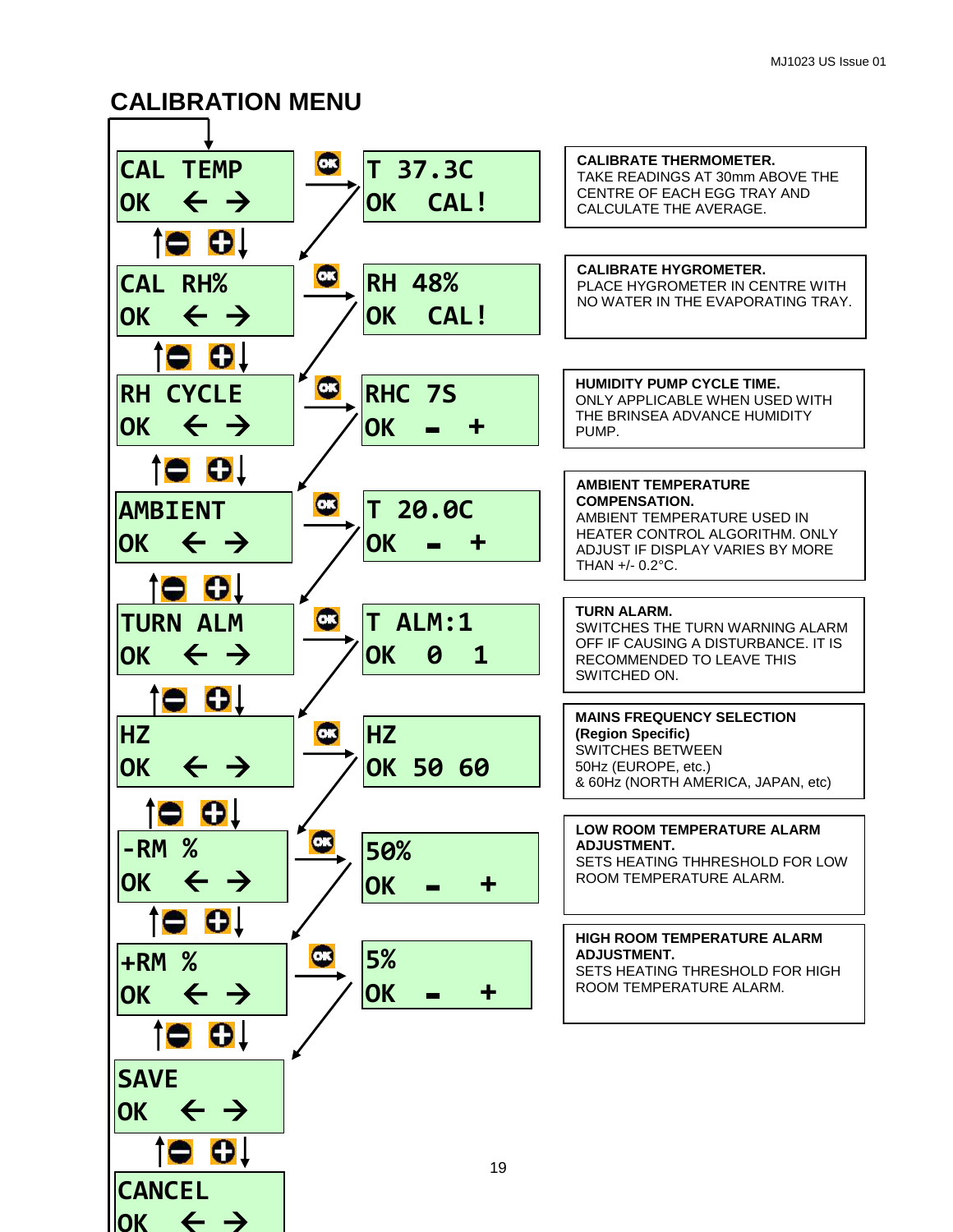## **CALIBRATION MENU**